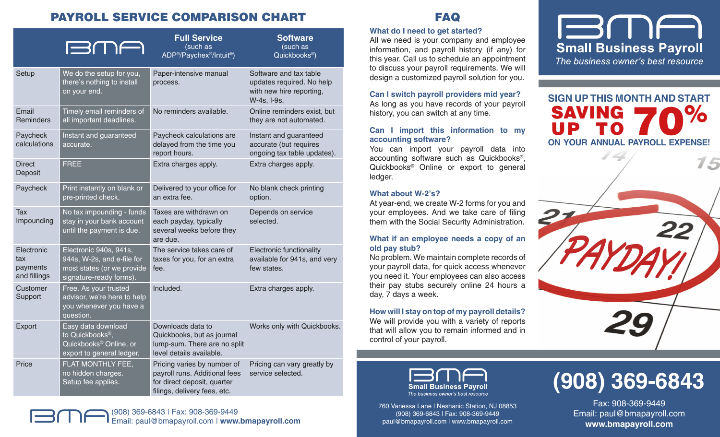# PAYROLL SERVICE COMPARISON CHART

|                                               | EME                                                                                                           | <b>Full Service</b><br>(such as<br>ADP <sup>®</sup> /Paychex <sup>®</sup> /Intuit <sup>®</sup> )                            | <b>Software</b><br>(such as<br>Quickbooks <sup>®</sup> )                                       |
|-----------------------------------------------|---------------------------------------------------------------------------------------------------------------|-----------------------------------------------------------------------------------------------------------------------------|------------------------------------------------------------------------------------------------|
| Setup                                         | We do the setup for you,<br>there's nothing to install<br>on your end.                                        | Paper-intensive manual<br>process.                                                                                          | Software and tax table<br>updates required. No help<br>with new hire reporting,<br>W-4s, I-9s. |
| Email<br><b>Reminders</b>                     | Timely email reminders of<br>all important deadlines.                                                         | No reminders available.                                                                                                     | Online reminders exist, but<br>they are not automated.                                         |
| Paycheck<br>calculations                      | Instant and guaranteed<br>accurate.                                                                           | Paycheck calculations are<br>delayed from the time you<br>report hours.                                                     | Instant and guaranteed<br>accurate (but requires<br>ongoing tax table updates).                |
| <b>Direct</b><br>Deposit                      | <b>FREE</b>                                                                                                   | Extra charges apply.                                                                                                        | Extra charges apply.                                                                           |
| Paycheck                                      | Print instantly on blank or<br>pre-printed check.                                                             | Delivered to your office for<br>an extra fee.                                                                               | No blank check printing<br>option.                                                             |
| Tax<br>Impounding                             | No tax impounding - funds<br>stay in your bank account<br>until the payment is due.                           | Taxes are withdrawn on<br>each payday, typically<br>several weeks before they<br>are due.                                   | Depends on service<br>selected.                                                                |
| Electronic<br>tax<br>payments<br>and fillings | Electronic 940s, 941s,<br>944s, W-2s, and e-file for<br>most states (or we provide<br>signature-ready forms). | The service takes care of<br>taxes for you, for an extra<br>fee.                                                            | Electronic functionality<br>available for 941s, and very<br>few states.                        |
| Customer<br>Support                           | Free. As your trusted<br>advisor, we're here to help<br>you whenever you have a<br>question.                  | Included.                                                                                                                   | Extra charges apply.                                                                           |
| Export                                        | Easy data download<br>to Quickbooks <sup>®</sup> ,<br>Quickbooks® Online, or<br>export to general ledger.     | Downloads data to<br>Quickbooks, but as journal<br>lump-sum. There are no split<br>level details available.                 | Works only with Quickbooks.                                                                    |
| Price                                         | FLAT MONTHLY FEE,<br>no hidden charges.<br>Setup fee applies.                                                 | Pricing varies by number of<br>payroll runs. Additional fees<br>for direct deposit, quarter<br>filings, delivery fees, etc. | Pricing can vary greatly by<br>service selected.                                               |



## FAQ

#### **What do I need to get started?**

All we need is your company and employee information, and payroll history (if any) for this year. Call us to schedule an appointment to discuss your payroll requirements. We will design a customized payroll solution for you.

**Can I switch payroll providers mid year?** As long as you have records of your payroll history, you can switch at any time.

#### **Can I import this information to my accounting software?**

You can import your payroll data into accounting software such as Quickbooks®, Quickbooks® Online or export to general ledger.

#### **What about W-2's?**

At year-end, we create W-2 forms for you and your employees. And we take care of filing them with the Social Security Administration.

#### **What if an employee needs a copy of an old pay stub?**

No problem. We maintain complete records of your payroll data, for quick access whenever you need it. Your employees can also access their pay stubs securely online 24 hours a day, 7 days a week.

# **How will I stay on top of my payroll details?**

We will provide you with a variety of reports that will allow you to remain informed and in control of your payroll.



**SIGN UP THIS MONTH AND START** SAVING II D **SAVING 70%**<br> **UP TO 70**<br>
ON YOUR ANNUAL PAYROLL EXPENSE!





760 Vanessa Lane | Neshanic Station, NJ 08853 (908) 369-6843 | Fax: 908-369-9449 paul@bmapayroll.com | www.bmapayroll.com

# **(908) 369-6843**

Fax: 908-369-9449